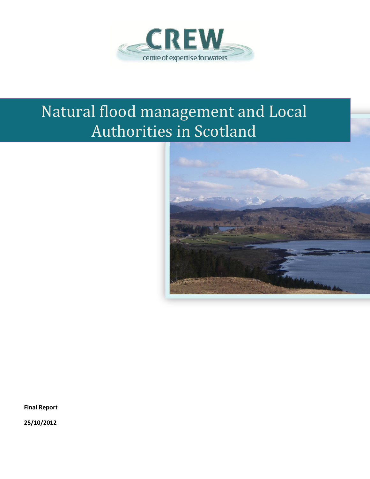

# Natural flood management and Local Authorities in Scotland



**Final Report**

**25/10/2012**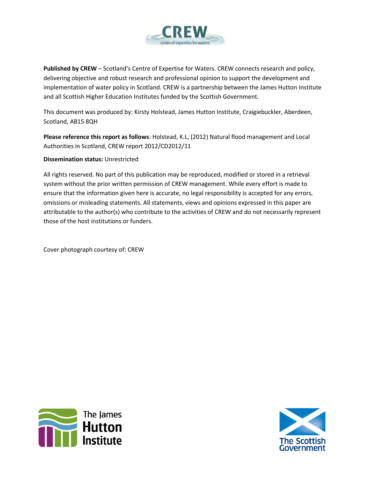

**Published by CREW** – Scotland's Centre of Expertise for Waters. CREW connects research and policy, delivering objective and robust research and professional opinion to support the development and implementation of water policy in Scotland. CREW is a partnership between the James Hutton Institute and all Scottish Higher Education Institutes funded by the Scottish Government.

This document was produced by: Kirsty Holstead, James Hutton Institute, Craigiebuckler, Aberdeen, Scotland, AB15 8QH

**Please reference this report as follows**: Holstead, K.L, (2012) Natural flood management and Local Authorities in Scotland, CREW report 2012/CD2012/11

## **Dissemination status:** Unrestricted

All rights reserved. No part of this publication may be reproduced, modified or stored in a retrieval system without the prior written permission of CREW management. While every effort is made to ensure that the information given here is accurate, no legal responsibility is accepted for any errors, omissions or misleading statements. All statements, views and opinions expressed in this paper are attributable to the author(s) who contribute to the activities of CREW and do not necessarily represent those of the host institutions or funders.

Cover photograph courtesy of: CREW



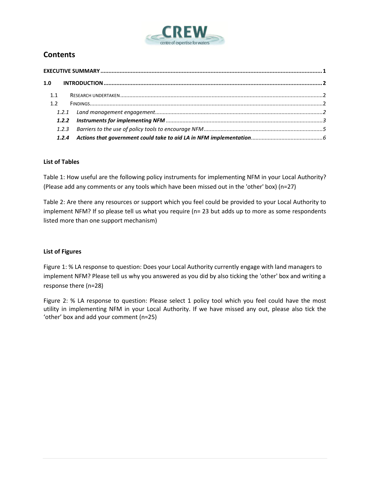

# **Contents**

| 1.1 |  |  |  |  |  |  |
|-----|--|--|--|--|--|--|
| 1.2 |  |  |  |  |  |  |
|     |  |  |  |  |  |  |
|     |  |  |  |  |  |  |
|     |  |  |  |  |  |  |
|     |  |  |  |  |  |  |

## **List of Tables**

Table 1: How useful are the following policy instruments for implementing NFM in your Local Authority? (Please add any comments or any tools which have been missed out in the 'other' box) (n=27)

Table 2: Are there any resources or support which you feel could be provided to your Local Authority to implement NFM? If so please tell us what you require (n= 23 but adds up to more as some respondents listed more than one support mechanism)

## **List of Figures**

Figure 1: % LA response to question: Does your Local Authority currently engage with land managers to implement NFM? Please tell us why you answered as you did by also ticking the 'other' box and writing a response there (n=28)

Figure 2: % LA response to question: Please select 1 policy tool which you feel could have the most utility in implementing NFM in your Local Authority. If we have missed any out, please also tick the 'other' box and add your comment (n=25)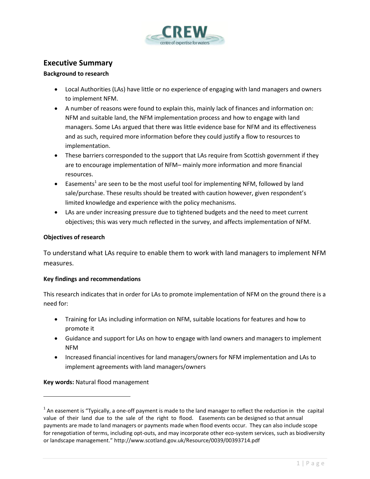

# <span id="page-3-0"></span>**Executive Summary**

#### **Background to research**

- Local Authorities (LAs) have little or no experience of engaging with land managers and owners to implement NFM.
- A number of reasons were found to explain this, mainly lack of finances and information on: NFM and suitable land, the NFM implementation process and how to engage with land managers. Some LAs argued that there was little evidence base for NFM and its effectiveness and as such, required more information before they could justify a flow to resources to implementation.
- These barriers corresponded to the support that LAs require from Scottish government if they are to encourage implementation of NFM– mainly more information and more financial resources.
- $\bullet$  Easements<sup>1</sup> are seen to be the most useful tool for implementing NFM, followed by land sale/purchase. These results should be treated with caution however, given respondent's limited knowledge and experience with the policy mechanisms.
- LAs are under increasing pressure due to tightened budgets and the need to meet current objectives; this was very much reflected in the survey, and affects implementation of NFM.

#### **Objectives of research**

To understand what LAs require to enable them to work with land managers to implement NFM measures.

## **Key findings and recommendations**

This research indicates that in order for LAs to promote implementation of NFM on the ground there is a need for:

- Training for LAs including information on NFM, suitable locations for features and how to promote it
- Guidance and support for LAs on how to engage with land owners and managers to implement NFM
- Increased financial incentives for land managers/owners for NFM implementation and LAs to implement agreements with land managers/owners

**Key words:** Natural flood management

 $\overline{\phantom{a}}$ 

 $1$  An easement is "Typically, a one-off payment is made to the land manager to reflect the reduction in the capital value of their land due to the sale of the right to flood. Easements can be designed so that annual payments are made to land managers or payments made when flood events occur. They can also include scope for renegotiation of terms, including opt-outs, and may incorporate other eco-system services, such as biodiversity or landscape management." http://www.scotland.gov.uk/Resource/0039/00393714.pdf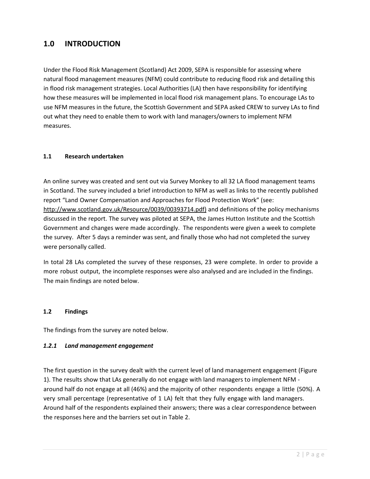# <span id="page-4-0"></span>**1.0 INTRODUCTION**

Under the Flood Risk Management (Scotland) Act 2009, SEPA is responsible for assessing where natural flood management measures (NFM) could contribute to reducing flood risk and detailing this in flood risk management strategies. Local Authorities (LA) then have responsibility for identifying how these measures will be implemented in local flood risk management plans. To encourage LAs to use NFM measures in the future, the Scottish Government and SEPA asked CREW to survey LAs to find out what they need to enable them to work with land managers/owners to implement NFM measures.

## <span id="page-4-1"></span>**1.1 Research undertaken**

An online survey was created and sent out via Survey Monkey to all 32 LA flood management teams in Scotland. The survey included a brief introduction to NFM as well as links to the recently published report "Land Owner Compensation and Approaches for Flood Protection Work" (see: [http://www.scotland.gov.uk/Resource/0039/00393714.pdf\)](http://www.scotland.gov.uk/Resource/0039/00393714.pdf) and definitions of the policy mechanisms discussed in the report. The survey was piloted at SEPA, the James Hutton Institute and the Scottish Government and changes were made accordingly. The respondents were given a week to complete the survey. After 5 days a reminder was sent, and finally those who had not completed the survey were personally called.

In total 28 LAs completed the survey of these responses, 23 were complete. In order to provide a more robust output, the incomplete responses were also analysed and are included in the findings. The main findings are noted below.

## <span id="page-4-2"></span>**1.2 Findings**

The findings from the survey are noted below.

## <span id="page-4-3"></span>*1.2.1 Land management engagement*

The first question in the survey dealt with the current level of land management engagement (Figure 1). The results show that LAs generally do not engage with land managers to implement NFM around half do not engage at all (46%) and the majority of other respondents engage a little (50%). A very small percentage (representative of 1 LA) felt that they fully engage with land managers. Around half of the respondents explained their answers; there was a clear correspondence between the responses here and the barriers set out in Table 2.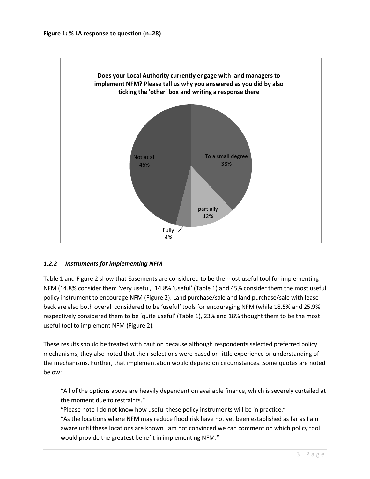

## <span id="page-5-0"></span>*1.2.2 Instruments for implementing NFM*

Table 1 and Figure 2 show that Easements are considered to be the most useful tool for implementing NFM (14.8% consider them 'very useful,' 14.8% 'useful' (Table 1) and 45% consider them the most useful policy instrument to encourage NFM (Figure 2). Land purchase/sale and land purchase/sale with lease back are also both overall considered to be 'useful' tools for encouraging NFM (while 18.5% and 25.9% respectively considered them to be 'quite useful' (Table 1), 23% and 18% thought them to be the most useful tool to implement NFM (Figure 2).

These results should be treated with caution because although respondents selected preferred policy mechanisms, they also noted that their selections were based on little experience or understanding of the mechanisms. Further, that implementation would depend on circumstances. Some quotes are noted below:

"All of the options above are heavily dependent on available finance, which is severely curtailed at the moment due to restraints."

"Please note I do not know how useful these policy instruments will be in practice." "As the locations where NFM may reduce flood risk have not yet been established as far as I am aware until these locations are known I am not convinced we can comment on which policy tool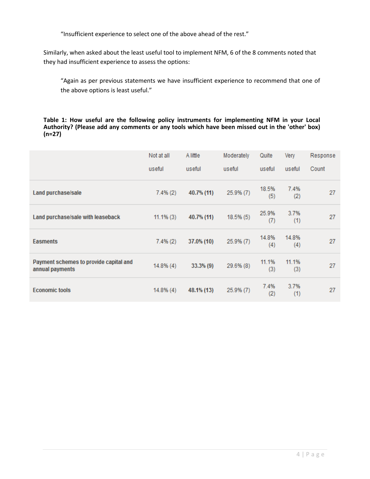"Insufficient experience to select one of the above ahead of the rest."

Similarly, when asked about the least useful tool to implement NFM, 6 of the 8 comments noted that they had insufficient experience to assess the options:

"Again as per previous statements we have insufficient experience to recommend that one of the above options is least useful."

**Table 1: How useful are the following policy instruments for implementing NFM in your Local Authority? (Please add any comments or any tools which have been missed out in the 'other' box) (n=27)**

|                                                           | Not at all   | A little     | Moderately | Quite        | Very         | Response |
|-----------------------------------------------------------|--------------|--------------|------------|--------------|--------------|----------|
|                                                           | useful       | useful       | useful     | useful       | useful       | Count    |
| Land purchase/sale                                        | $7.4\%(2)$   | 40.7% (11)   | 25.9% (7)  | 18.5%<br>(5) | 7.4%<br>(2)  | 27       |
| Land purchase/sale with leaseback                         | $11.1\%$ (3) | 40.7% (11)   | 18.5% (5)  | 25.9%<br>(7) | 3.7%<br>(1)  | 27       |
| <b>Easments</b>                                           | $7.4\%(2)$   | 37.0% (10)   | 25.9% (7)  | 14.8%<br>(4) | 14.8%<br>(4) | 27       |
| Payment schemes to provide capital and<br>annual payments | $14.8\%$ (4) | $33.3\%$ (9) | 29.6% (8)  | 11.1%<br>(3) | 11.1%<br>(3) | 27       |
| <b>Economic tools</b>                                     | $14.8\%$ (4) | 48.1% (13)   | 25.9% (7)  | 7.4%<br>(2)  | 3.7%<br>(1)  | 27       |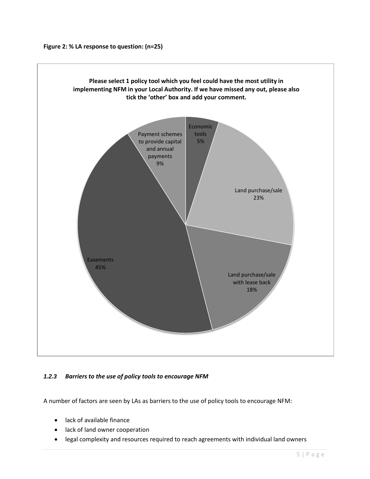

## <span id="page-7-0"></span>*1.2.3 Barriers to the use of policy tools to encourage NFM*

A number of factors are seen by LAs as barriers to the use of policy tools to encourage NFM:

- lack of available finance
- lack of land owner cooperation
- legal complexity and resources required to reach agreements with individual land owners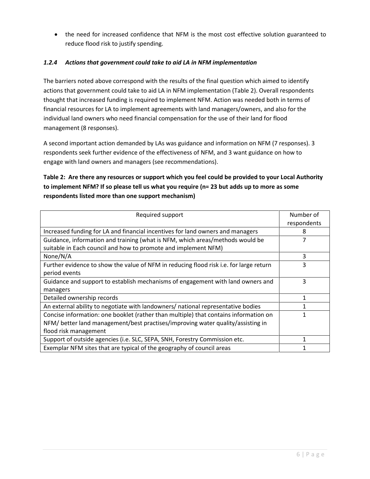the need for increased confidence that NFM is the most cost effective solution guaranteed to reduce flood risk to justify spending.

## <span id="page-8-0"></span>*1.2.4 Actions that government could take to aid LA in NFM implementation*

The barriers noted above correspond with the results of the final question which aimed to identify actions that government could take to aid LA in NFM implementation (Table 2). Overall respondents thought that increased funding is required to implement NFM. Action was needed both in terms of financial resources for LA to implement agreements with land managers/owners, and also for the individual land owners who need financial compensation for the use of their land for flood management (8 responses).

A second important action demanded by LAs was guidance and information on NFM (7 responses). 3 respondents seek further evidence of the effectiveness of NFM, and 3 want guidance on how to engage with land owners and managers (see recommendations).

# **Table 2: Are there any resources or support which you feel could be provided to your Local Authority to implement NFM? If so please tell us what you require (n= 23 but adds up to more as some respondents listed more than one support mechanism)**

| Required support                                                                       | Number of   |  |
|----------------------------------------------------------------------------------------|-------------|--|
|                                                                                        | respondents |  |
| Increased funding for LA and financial incentives for land owners and managers         | 8           |  |
| Guidance, information and training (what is NFM, which areas/methods would be          |             |  |
| suitable in Each council and how to promote and implement NFM)                         |             |  |
| None/N/A                                                                               | 3           |  |
| Further evidence to show the value of NFM in reducing flood risk i.e. for large return | 3           |  |
| period events                                                                          |             |  |
| Guidance and support to establish mechanisms of engagement with land owners and        | 3           |  |
| managers                                                                               |             |  |
| Detailed ownership records                                                             |             |  |
| An external ability to negotiate with landowners/ national representative bodies       |             |  |
| Concise information: one booklet (rather than multiple) that contains information on   |             |  |
| NFM/ better land management/best practises/improving water quality/assisting in        |             |  |
| flood risk management                                                                  |             |  |
| Support of outside agencies (i.e. SLC, SEPA, SNH, Forestry Commission etc.             |             |  |
| Exemplar NFM sites that are typical of the geography of council areas                  |             |  |